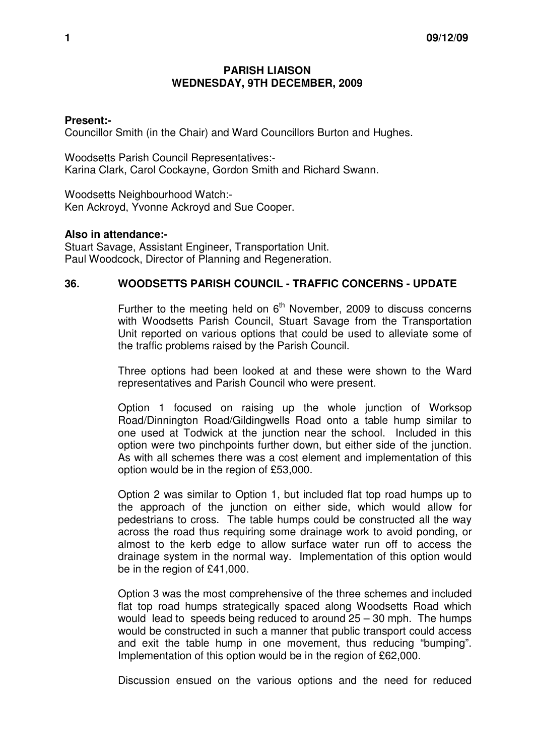## **PARISH LIAISON WEDNESDAY, 9TH DECEMBER, 2009**

## **Present:-**

Councillor Smith (in the Chair) and Ward Councillors Burton and Hughes.

Woodsetts Parish Council Representatives:- Karina Clark, Carol Cockayne, Gordon Smith and Richard Swann.

Woodsetts Neighbourhood Watch:- Ken Ackroyd, Yvonne Ackroyd and Sue Cooper.

## **Also in attendance:-**

Stuart Savage, Assistant Engineer, Transportation Unit. Paul Woodcock, Director of Planning and Regeneration.

## **36. WOODSETTS PARISH COUNCIL - TRAFFIC CONCERNS - UPDATE**

Further to the meeting held on  $6<sup>th</sup>$  November, 2009 to discuss concerns with Woodsetts Parish Council, Stuart Savage from the Transportation Unit reported on various options that could be used to alleviate some of the traffic problems raised by the Parish Council.

Three options had been looked at and these were shown to the Ward representatives and Parish Council who were present.

Option 1 focused on raising up the whole junction of Worksop Road/Dinnington Road/Gildingwells Road onto a table hump similar to one used at Todwick at the junction near the school. Included in this option were two pinchpoints further down, but either side of the junction. As with all schemes there was a cost element and implementation of this option would be in the region of £53,000.

Option 2 was similar to Option 1, but included flat top road humps up to the approach of the junction on either side, which would allow for pedestrians to cross. The table humps could be constructed all the way across the road thus requiring some drainage work to avoid ponding, or almost to the kerb edge to allow surface water run off to access the drainage system in the normal way. Implementation of this option would be in the region of £41,000.

Option 3 was the most comprehensive of the three schemes and included flat top road humps strategically spaced along Woodsetts Road which would lead to speeds being reduced to around 25 – 30 mph. The humps would be constructed in such a manner that public transport could access and exit the table hump in one movement, thus reducing "bumping". Implementation of this option would be in the region of £62,000.

Discussion ensued on the various options and the need for reduced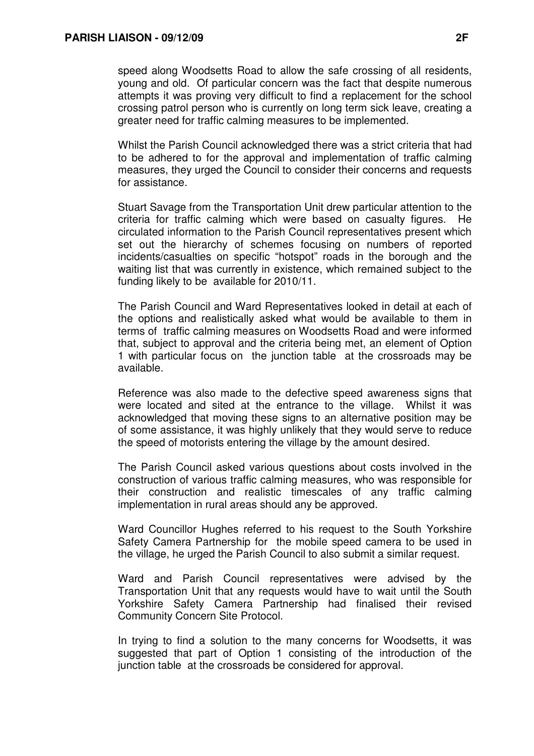speed along Woodsetts Road to allow the safe crossing of all residents, young and old. Of particular concern was the fact that despite numerous attempts it was proving very difficult to find a replacement for the school crossing patrol person who is currently on long term sick leave, creating a greater need for traffic calming measures to be implemented.

Whilst the Parish Council acknowledged there was a strict criteria that had to be adhered to for the approval and implementation of traffic calming measures, they urged the Council to consider their concerns and requests for assistance.

Stuart Savage from the Transportation Unit drew particular attention to the criteria for traffic calming which were based on casualty figures. He circulated information to the Parish Council representatives present which set out the hierarchy of schemes focusing on numbers of reported incidents/casualties on specific "hotspot" roads in the borough and the waiting list that was currently in existence, which remained subject to the funding likely to be available for 2010/11.

The Parish Council and Ward Representatives looked in detail at each of the options and realistically asked what would be available to them in terms of traffic calming measures on Woodsetts Road and were informed that, subject to approval and the criteria being met, an element of Option 1 with particular focus on the junction table at the crossroads may be available.

Reference was also made to the defective speed awareness signs that were located and sited at the entrance to the village. Whilst it was acknowledged that moving these signs to an alternative position may be of some assistance, it was highly unlikely that they would serve to reduce the speed of motorists entering the village by the amount desired.

The Parish Council asked various questions about costs involved in the construction of various traffic calming measures, who was responsible for their construction and realistic timescales of any traffic calming implementation in rural areas should any be approved.

Ward Councillor Hughes referred to his request to the South Yorkshire Safety Camera Partnership for the mobile speed camera to be used in the village, he urged the Parish Council to also submit a similar request.

Ward and Parish Council representatives were advised by the Transportation Unit that any requests would have to wait until the South Yorkshire Safety Camera Partnership had finalised their revised Community Concern Site Protocol.

In trying to find a solution to the many concerns for Woodsetts, it was suggested that part of Option 1 consisting of the introduction of the junction table at the crossroads be considered for approval.